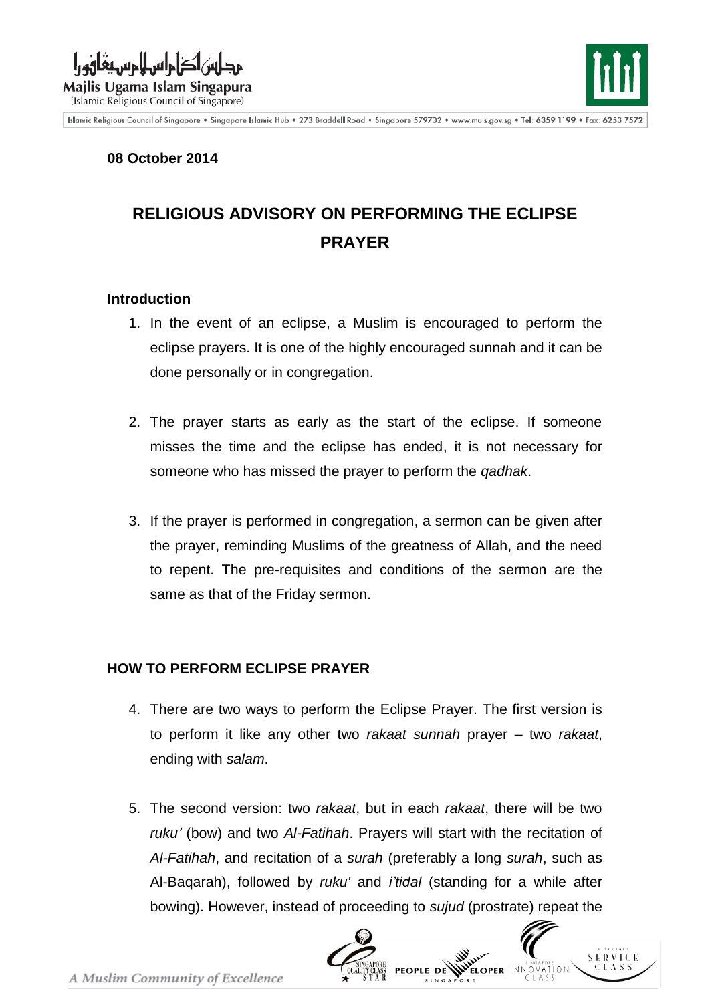



Islamic Religious Council of Singapore . Singapore Islamic Hub . 273 Braddell Road . Singapore 579702 . www.muis.gov.sg . Tel: 6359 1199 . Fax: 6253 7572

## **08 October 2014**

# **RELIGIOUS ADVISORY ON PERFORMING THE ECLIPSE PRAYER**

#### **Introduction**

- 1. In the event of an eclipse, a Muslim is encouraged to perform the eclipse prayers. It is one of the highly encouraged sunnah and it can be done personally or in congregation.
- 2. The prayer starts as early as the start of the eclipse. If someone misses the time and the eclipse has ended, it is not necessary for someone who has missed the prayer to perform the *qadhak*.
- 3. If the prayer is performed in congregation, a sermon can be given after the prayer, reminding Muslims of the greatness of Allah, and the need to repent. The pre-requisites and conditions of the sermon are the same as that of the Friday sermon.

## **HOW TO PERFORM ECLIPSE PRAYER**

- 4. There are two ways to perform the Eclipse Prayer. The first version is to perform it like any other two *rakaat sunnah* prayer – two *rakaat*, ending with *salam*.
- 5. The second version: two *rakaat*, but in each *rakaat*, there will be two *ruku'* (bow) and two *Al-Fatihah*. Prayers will start with the recitation of *Al-Fatihah*, and recitation of a *surah* (preferably a long *surah*, such as Al-Baqarah), followed by *ruku'* and *i'tidal* (standing for a while after bowing). However, instead of proceeding to *sujud* (prostrate) repeat the